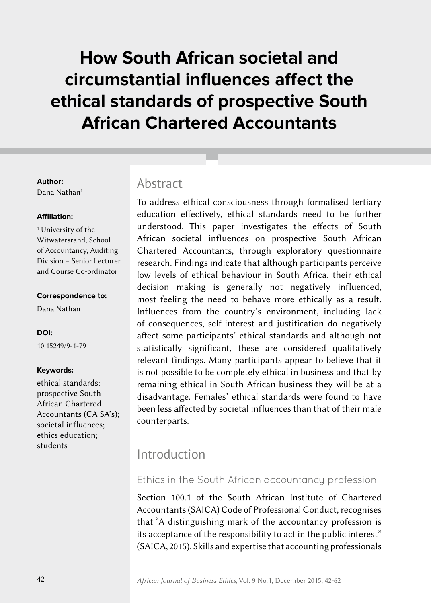# **How South African societal and circumstantial influences affect the ethical standards of prospective South African Chartered Accountants**

#### **Author:**

Dana Nathan<sup>1</sup>

#### **Affiliation:**

1 University of the Witwatersrand, School of Accountancy, Auditing Division – Senior Lecturer and Course Co-ordinator

#### **Correspondence to:**

Dana Nathan

#### **DOI:**

10.15249/9-1-79

#### **Keywords:**

ethical standards; prospective South African Chartered Accountants (CA SA's); societal influences; ethics education; students

### Abstract

To address ethical consciousness through formalised tertiary education effectively, ethical standards need to be further understood. This paper investigates the effects of South African societal influences on prospective South African Chartered Accountants, through exploratory questionnaire research. Findings indicate that although participants perceive low levels of ethical behaviour in South Africa, their ethical decision making is generally not negatively influenced, most feeling the need to behave more ethically as a result. Influences from the country's environment, including lack of consequences, self-interest and justification do negatively affect some participants' ethical standards and although not statistically significant, these are considered qualitatively relevant findings. Many participants appear to believe that it is not possible to be completely ethical in business and that by remaining ethical in South African business they will be at a disadvantage. Females' ethical standards were found to have been less affected by societal influences than that of their male counterparts.

# Introduction

### Ethics in the South African accountancy profession

Section 100.1 of the South African Institute of Chartered Accountants (SAICA) Code of Professional Conduct, recognises that "A distinguishing mark of the accountancy profession is its acceptance of the responsibility to act in the public interest" (SAICA, 2015). Skills and expertise that accounting professionals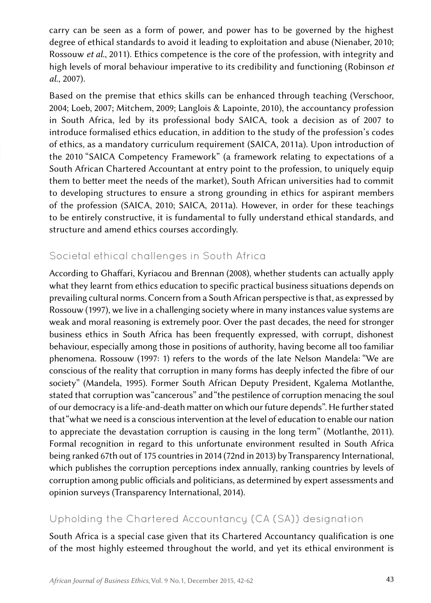carry can be seen as a form of power, and power has to be governed by the highest degree of ethical standards to avoid it leading to exploitation and abuse (Nienaber, 2010; Rossouw *et al.*, 2011). Ethics competence is the core of the profession, with integrity and high levels of moral behaviour imperative to its credibility and functioning (Robinson *et al*., 2007).

Based on the premise that ethics skills can be enhanced through teaching (Verschoor, 2004; Loeb, 2007; Mitchem, 2009; Langlois & Lapointe, 2010), the accountancy profession in South Africa, led by its professional body SAICA, took a decision as of 2007 to introduce formalised ethics education, in addition to the study of the profession's codes of ethics, as a mandatory curriculum requirement (SAICA, 2011a). Upon introduction of the 2010 "SAICA Competency Framework" (a framework relating to expectations of a South African Chartered Accountant at entry point to the profession, to uniquely equip them to better meet the needs of the market), South African universities had to commit to developing structures to ensure a strong grounding in ethics for aspirant members of the profession (SAICA, 2010; SAICA, 2011a). However, in order for these teachings to be entirely constructive, it is fundamental to fully understand ethical standards, and structure and amend ethics courses accordingly.

### Societal ethical challenges in South Africa

According to Ghaffari, Kyriacou and Brennan (2008), whether students can actually apply what they learnt from ethics education to specific practical business situations depends on prevailing cultural norms. Concern from a South African perspective is that, as expressed by Rossouw (1997), we live in a challenging society where in many instances value systems are weak and moral reasoning is extremely poor. Over the past decades, the need for stronger business ethics in South Africa has been frequently expressed, with corrupt, dishonest behaviour, especially among those in positions of authority, having become all too familiar phenomena. Rossouw (1997: 1) refers to the words of the late Nelson Mandela: "We are conscious of the reality that corruption in many forms has deeply infected the fibre of our society" (Mandela, 1995). Former South African Deputy President, Kgalema Motlanthe, stated that corruption was "cancerous" and "the pestilence of corruption menacing the soul of our democracy is a life-and-death matter on which our future depends". He further stated that "what we need is a conscious intervention at the level of education to enable our nation to appreciate the devastation corruption is causing in the long term" (Motlanthe, 2011). Formal recognition in regard to this unfortunate environment resulted in South Africa being ranked 67th out of 175 countries in 2014 (72nd in 2013) by Transparency International, which publishes the corruption perceptions index annually, ranking countries by levels of corruption among public officials and politicians, as determined by expert assessments and opinion surveys (Transparency International, 2014).

### Upholding the Chartered Accountancy (CA (SA)) designation

South Africa is a special case given that its Chartered Accountancy qualification is one of the most highly esteemed throughout the world, and yet its ethical environment is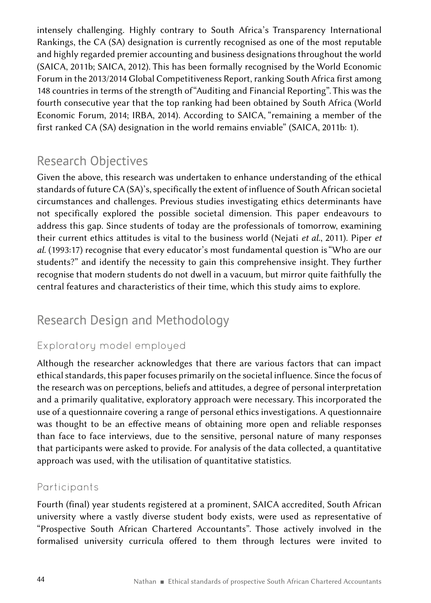intensely challenging. Highly contrary to South Africa's Transparency International Rankings, the CA (SA) designation is currently recognised as one of the most reputable and highly regarded premier accounting and business designations throughout the world (SAICA, 2011b; SAICA, 2012). This has been formally recognised by the World Economic Forum in the 2013/2014 Global Competitiveness Report, ranking South Africa first among 148 countries in terms of the strength of "Auditing and Financial Reporting". This was the fourth consecutive year that the top ranking had been obtained by South Africa (World Economic Forum, 2014; IRBA, 2014). According to SAICA, "remaining a member of the first ranked CA (SA) designation in the world remains enviable" (SAICA, 2011b: 1).

# Research Objectives

Given the above, this research was undertaken to enhance understanding of the ethical standards of future CA (SA)'s, specifically the extent of influence of South African societal circumstances and challenges. Previous studies investigating ethics determinants have not specifically explored the possible societal dimension. This paper endeavours to address this gap. Since students of today are the professionals of tomorrow, examining their current ethics attitudes is vital to the business world (Nejati *et al.*, 2011). Piper *et al.* (1993:17) recognise that every educator's most fundamental question is "Who are our students?" and identify the necessity to gain this comprehensive insight. They further recognise that modern students do not dwell in a vacuum, but mirror quite faithfully the central features and characteristics of their time, which this study aims to explore.

# Research Design and Methodology

### Exploratory model employed

Although the researcher acknowledges that there are various factors that can impact ethical standards, this paper focuses primarily on the societal influence. Since the focus of the research was on perceptions, beliefs and attitudes, a degree of personal interpretation and a primarily qualitative, exploratory approach were necessary. This incorporated the use of a questionnaire covering a range of personal ethics investigations. A questionnaire was thought to be an effective means of obtaining more open and reliable responses than face to face interviews, due to the sensitive, personal nature of many responses that participants were asked to provide. For analysis of the data collected, a quantitative approach was used, with the utilisation of quantitative statistics.

### Participants

Fourth (final) year students registered at a prominent, SAICA accredited, South African university where a vastly diverse student body exists, were used as representative of "Prospective South African Chartered Accountants". Those actively involved in the formalised university curricula offered to them through lectures were invited to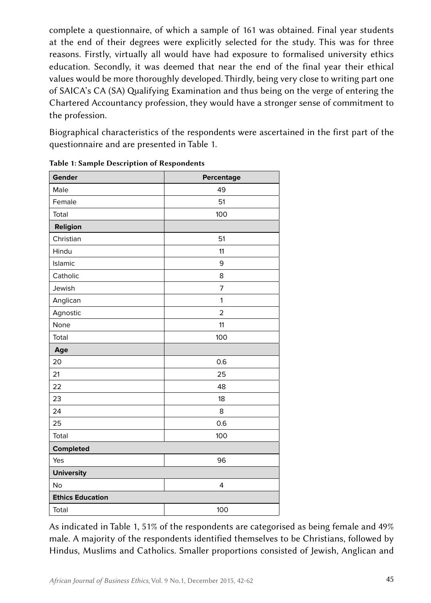complete a questionnaire, of which a sample of 161 was obtained. Final year students at the end of their degrees were explicitly selected for the study. This was for three reasons. Firstly, virtually all would have had exposure to formalised university ethics education. Secondly, it was deemed that near the end of the final year their ethical values would be more thoroughly developed. Thirdly, being very close to writing part one of SAICA's CA (SA) Qualifying Examination and thus being on the verge of entering the Chartered Accountancy profession, they would have a stronger sense of commitment to the profession.

Biographical characteristics of the respondents were ascertained in the first part of the questionnaire and are presented in Table 1.

| Gender                  | Percentage   |
|-------------------------|--------------|
| Male                    | 49           |
| Female                  | 51           |
| Total                   | 100          |
| Religion                |              |
| Christian               | 51           |
| Hindu                   | 11           |
| Islamic                 | 9            |
| Catholic                | 8            |
| Jewish                  | 7            |
| Anglican                | $\mathbf{1}$ |
| Agnostic                | $\mathbf 2$  |
| None                    | 11           |
| Total                   | 100          |
| Age                     |              |
| 20                      | 0.6          |
| 21                      | 25           |
| 22                      | 48           |
| 23                      | 18           |
| 24                      | 8            |
| 25                      | 0.6          |
| Total                   | 100          |
| Completed               |              |
| Yes                     | 96           |
| <b>University</b>       |              |
| No                      | 4            |
| <b>Ethics Education</b> |              |
| Total                   | 100          |

|  |  |  |  |  | Table 1: Sample Description of Respondents |
|--|--|--|--|--|--------------------------------------------|
|--|--|--|--|--|--------------------------------------------|

As indicated in Table 1, 51% of the respondents are categorised as being female and 49% male. A majority of the respondents identified themselves to be Christians, followed by Hindus, Muslims and Catholics. Smaller proportions consisted of Jewish, Anglican and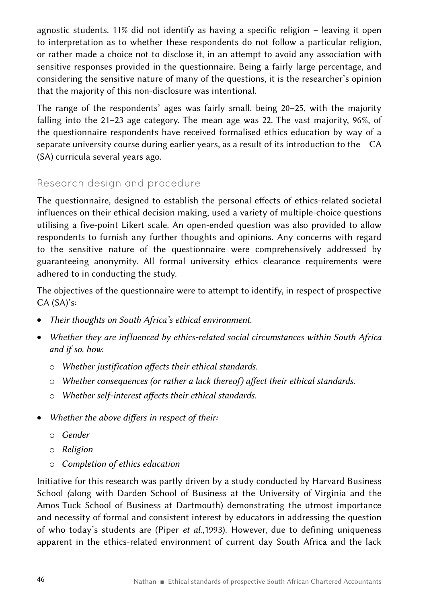agnostic students. 11% did not identify as having a specific religion – leaving it open to interpretation as to whether these respondents do not follow a particular religion, or rather made a choice not to disclose it, in an attempt to avoid any association with sensitive responses provided in the questionnaire. Being a fairly large percentage, and considering the sensitive nature of many of the questions, it is the researcher's opinion that the majority of this non-disclosure was intentional.

The range of the respondents' ages was fairly small, being 20–25, with the majority falling into the 21–23 age category. The mean age was 22. The vast majority, 96%, of the questionnaire respondents have received formalised ethics education by way of a separate university course during earlier years, as a result of its introduction to the CA (SA) curricula several years ago.

#### Research design and procedure

The questionnaire, designed to establish the personal effects of ethics-related societal influences on their ethical decision making, used a variety of multiple-choice questions utilising a five-point Likert scale. An open-ended question was also provided to allow respondents to furnish any further thoughts and opinions. Any concerns with regard to the sensitive nature of the questionnaire were comprehensively addressed by guaranteeing anonymity. All formal university ethics clearance requirements were adhered to in conducting the study.

The objectives of the questionnaire were to attempt to identify, in respect of prospective CA (SA)'s:

- • *Their thoughts on South Africa's ethical environment.*
- • *Whether they are influenced by ethics-related social circumstances within South Africa and if so, how.*
	- o *Whether justification affects their ethical standards.*
	- o *Whether consequences (or rather a lack thereof) affect their ethical standards.*
	- o *Whether self-interest affects their ethical standards.*
- • *Whether the above differs in respect of their:* 
	- o *Gender*
	- o *Religion*
	- o *Completion of ethics education*

Initiative for this research was partly driven by a study conducted by Harvard Business School *(*along with Darden School of Business at the University of Virginia and the Amos Tuck School of Business at Dartmouth) demonstrating the utmost importance and necessity of formal and consistent interest by educators in addressing the question of who today's students are (Piper *et al*.,1993). However, due to defining uniqueness apparent in the ethics-related environment of current day South Africa and the lack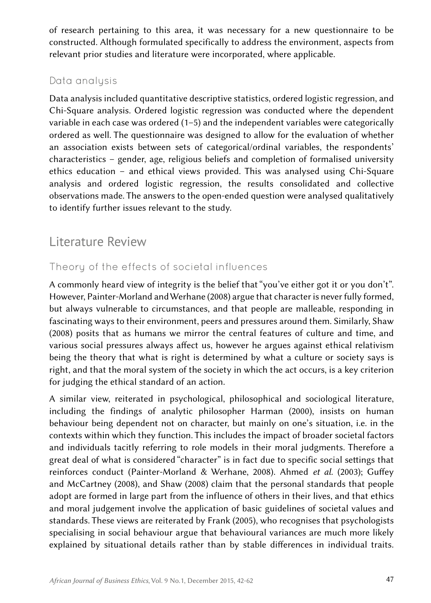of research pertaining to this area, it was necessary for a new questionnaire to be constructed. Although formulated specifically to address the environment, aspects from relevant prior studies and literature were incorporated, where applicable.

#### Data analysis

Data analysis included quantitative descriptive statistics, ordered logistic regression, and Chi-Square analysis. Ordered logistic regression was conducted where the dependent variable in each case was ordered (1–5) and the independent variables were categorically ordered as well. The questionnaire was designed to allow for the evaluation of whether an association exists between sets of categorical/ordinal variables, the respondents' characteristics – gender, age, religious beliefs and completion of formalised university ethics education – and ethical views provided. This was analysed using Chi-Square analysis and ordered logistic regression, the results consolidated and collective observations made. The answers to the open-ended question were analysed qualitatively to identify further issues relevant to the study.

## Literature Review

#### Theory of the effects of societal influences

A commonly heard view of integrity is the belief that "you've either got it or you don't". However, Painter-Morland and Werhane (2008) argue that character is never fully formed, but always vulnerable to circumstances, and that people are malleable, responding in fascinating ways to their environment, peers and pressures around them. Similarly, Shaw (2008) posits that as humans we mirror the central features of culture and time, and various social pressures always affect us, however he argues against ethical relativism being the theory that what is right is determined by what a culture or society says is right, and that the moral system of the society in which the act occurs, is a key criterion for judging the ethical standard of an action.

A similar view, reiterated in psychological, philosophical and sociological literature, including the findings of analytic philosopher Harman (2000), insists on human behaviour being dependent not on character, but mainly on one's situation, i.e. in the contexts within which they function. This includes the impact of broader societal factors and individuals tacitly referring to role models in their moral judgments. Therefore a great deal of what is considered "character" is in fact due to specific social settings that reinforces conduct (Painter-Morland & Werhane, 2008). Ahmed *et al.* (2003); Guffey and McCartney (2008), and Shaw (2008) claim that the personal standards that people adopt are formed in large part from the influence of others in their lives, and that ethics and moral judgement involve the application of basic guidelines of societal values and standards. These views are reiterated by Frank (2005), who recognises that psychologists specialising in social behaviour argue that behavioural variances are much more likely explained by situational details rather than by stable differences in individual traits.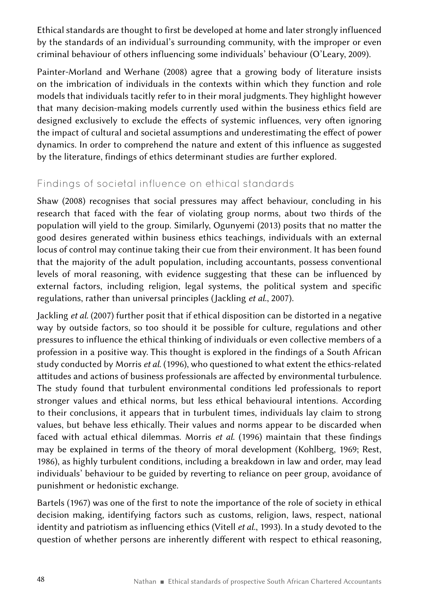Ethical standards are thought to first be developed at home and later strongly influenced by the standards of an individual's surrounding community, with the improper or even criminal behaviour of others influencing some individuals' behaviour (O'Leary, 2009).

Painter-Morland and Werhane (2008) agree that a growing body of literature insists on the imbrication of individuals in the contexts within which they function and role models that individuals tacitly refer to in their moral judgments. They highlight however that many decision-making models currently used within the business ethics field are designed exclusively to exclude the effects of systemic influences, very often ignoring the impact of cultural and societal assumptions and underestimating the effect of power dynamics. In order to comprehend the nature and extent of this influence as suggested by the literature, findings of ethics determinant studies are further explored.

### Findings of societal influence on ethical standards

Shaw (2008) recognises that social pressures may affect behaviour, concluding in his research that faced with the fear of violating group norms, about two thirds of the population will yield to the group. Similarly, Ogunyemi (2013) posits that no matter the good desires generated within business ethics teachings, individuals with an external locus of control may continue taking their cue from their environment. It has been found that the majority of the adult population, including accountants, possess conventional levels of moral reasoning, with evidence suggesting that these can be influenced by external factors, including religion, legal systems, the political system and specific regulations, rather than universal principles (Jackling *et al*., 2007).

Jackling *et al*. (2007) further posit that if ethical disposition can be distorted in a negative way by outside factors, so too should it be possible for culture, regulations and other pressures to influence the ethical thinking of individuals or even collective members of a profession in a positive way. This thought is explored in the findings of a South African study conducted by Morris *et al*. (1996), who questioned to what extent the ethics-related attitudes and actions of business professionals are affected by environmental turbulence. The study found that turbulent environmental conditions led professionals to report stronger values and ethical norms, but less ethical behavioural intentions. According to their conclusions, it appears that in turbulent times, individuals lay claim to strong values, but behave less ethically. Their values and norms appear to be discarded when faced with actual ethical dilemmas. Morris *et al*. (1996) maintain that these findings may be explained in terms of the theory of moral development (Kohlberg, 1969; Rest, 1986), as highly turbulent conditions, including a breakdown in law and order, may lead individuals' behaviour to be guided by reverting to reliance on peer group, avoidance of punishment or hedonistic exchange.

Bartels (1967) was one of the first to note the importance of the role of society in ethical decision making, identifying factors such as customs, religion, laws, respect, national identity and patriotism as influencing ethics (Vitell *et al.*, 1993). In a study devoted to the question of whether persons are inherently different with respect to ethical reasoning,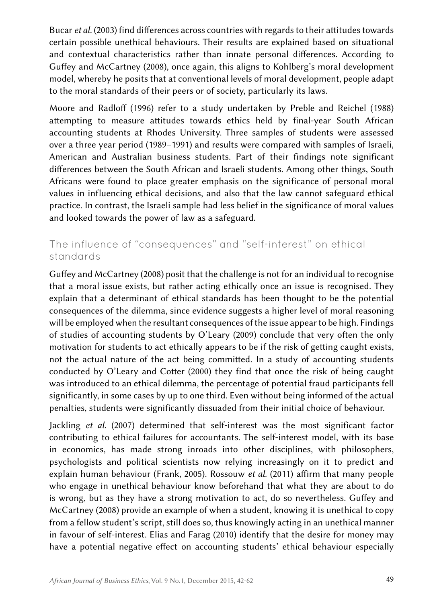Bucar *et al.* (2003) find differences across countries with regards to their attitudes towards certain possible unethical behaviours. Their results are explained based on situational and contextual characteristics rather than innate personal differences. According to Guffey and McCartney (2008), once again, this aligns to Kohlberg's moral development model, whereby he posits that at conventional levels of moral development, people adapt to the moral standards of their peers or of society, particularly its laws.

Moore and Radloff (1996) refer to a study undertaken by Preble and Reichel (1988) attempting to measure attitudes towards ethics held by final-year South African accounting students at Rhodes University. Three samples of students were assessed over a three year period (1989–1991) and results were compared with samples of Israeli, American and Australian business students. Part of their findings note significant differences between the South African and Israeli students. Among other things, South Africans were found to place greater emphasis on the significance of personal moral values in influencing ethical decisions, and also that the law cannot safeguard ethical practice. In contrast, the Israeli sample had less belief in the significance of moral values and looked towards the power of law as a safeguard.

#### The influence of "consequences" and "self-interest" on ethical standards

Guffey and McCartney (2008) posit that the challenge is not for an individual to recognise that a moral issue exists, but rather acting ethically once an issue is recognised. They explain that a determinant of ethical standards has been thought to be the potential consequences of the dilemma, since evidence suggests a higher level of moral reasoning will be employed when the resultant consequences of the issue appear to be high. Findings of studies of accounting students by O'Leary (2009) conclude that very often the only motivation for students to act ethically appears to be if the risk of getting caught exists, not the actual nature of the act being committed. In a study of accounting students conducted by O'Leary and Cotter (2000) they find that once the risk of being caught was introduced to an ethical dilemma, the percentage of potential fraud participants fell significantly, in some cases by up to one third. Even without being informed of the actual penalties, students were significantly dissuaded from their initial choice of behaviour.

Jackling *et al.* (2007) determined that self-interest was the most significant factor contributing to ethical failures for accountants. The self-interest model, with its base in economics, has made strong inroads into other disciplines, with philosophers, psychologists and political scientists now relying increasingly on it to predict and explain human behaviour (Frank, 2005). Rossouw *et al.* (2011) affirm that many people who engage in unethical behaviour know beforehand that what they are about to do is wrong, but as they have a strong motivation to act, do so nevertheless. Guffey and McCartney (2008) provide an example of when a student, knowing it is unethical to copy from a fellow student's script, still does so, thus knowingly acting in an unethical manner in favour of self-interest. Elias and Farag (2010) identify that the desire for money may have a potential negative effect on accounting students' ethical behaviour especially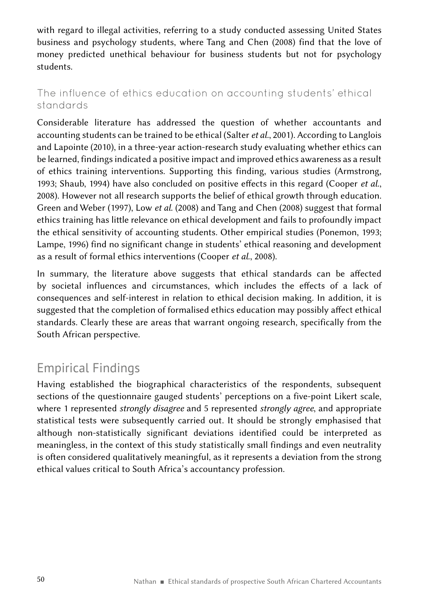with regard to illegal activities, referring to a study conducted assessing United States business and psychology students, where Tang and Chen (2008) find that the love of money predicted unethical behaviour for business students but not for psychology students.

### The influence of ethics education on accounting students' ethical standards

Considerable literature has addressed the question of whether accountants and accounting students can be trained to be ethical (Salter *et al.*, 2001). According to Langlois and Lapointe (2010), in a three-year action-research study evaluating whether ethics can be learned, findings indicated a positive impact and improved ethics awareness as a result of ethics training interventions. Supporting this finding, various studies (Armstrong, 1993; Shaub, 1994) have also concluded on positive effects in this regard (Cooper *et al*., 2008). However not all research supports the belief of ethical growth through education. Green and Weber (1997), Low *et al*. (2008) and Tang and Chen (2008) suggest that formal ethics training has little relevance on ethical development and fails to profoundly impact the ethical sensitivity of accounting students. Other empirical studies (Ponemon, 1993; Lampe, 1996) find no significant change in students' ethical reasoning and development as a result of formal ethics interventions (Cooper *et al*., 2008).

In summary, the literature above suggests that ethical standards can be affected by societal influences and circumstances, which includes the effects of a lack of consequences and self-interest in relation to ethical decision making. In addition, it is suggested that the completion of formalised ethics education may possibly affect ethical standards. Clearly these are areas that warrant ongoing research, specifically from the South African perspective.

# Empirical Findings

Having established the biographical characteristics of the respondents, subsequent sections of the questionnaire gauged students' perceptions on a five-point Likert scale, where 1 represented *strongly disagree* and 5 represented *strongly agree*, and appropriate statistical tests were subsequently carried out. It should be strongly emphasised that although non-statistically significant deviations identified could be interpreted as meaningless, in the context of this study statistically small findings and even neutrality is often considered qualitatively meaningful, as it represents a deviation from the strong ethical values critical to South Africa's accountancy profession.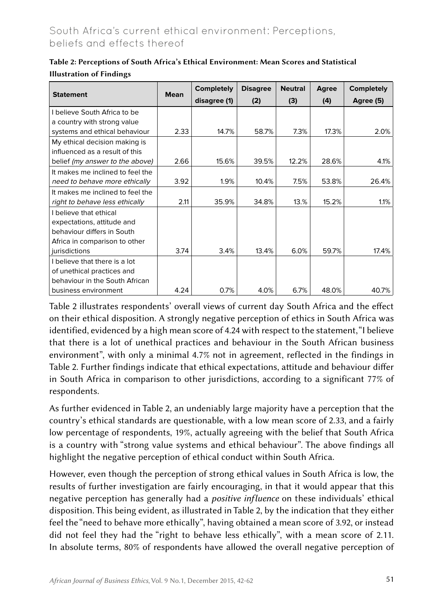### South Africa's current ethical environment: Perceptions, beliefs and effects thereof

|                                  |             | <b>Completely</b> | <b>Disagree</b> | <b>Neutral</b> | Agree | <b>Completely</b> |
|----------------------------------|-------------|-------------------|-----------------|----------------|-------|-------------------|
| <b>Statement</b>                 | <b>Mean</b> | disagree (1)      | (2)             | (3)            | (4)   | Agree (5)         |
| I believe South Africa to be     |             |                   |                 |                |       |                   |
| a country with strong value      |             |                   |                 |                |       |                   |
| systems and ethical behaviour    | 2.33        | 14.7%             | 58.7%           | 7.3%           | 17.3% | 2.0%              |
| My ethical decision making is    |             |                   |                 |                |       |                   |
| influenced as a result of this   |             |                   |                 |                |       |                   |
| belief (my answer to the above)  | 2.66        | 15.6%             | 39.5%           | 12.2%          | 28.6% | 4.1%              |
| It makes me inclined to feel the |             |                   |                 |                |       |                   |
| need to behave more ethically    | 3.92        | $1.9\%$           | 10.4%           | 7.5%           | 53.8% | 26.4%             |
| It makes me inclined to feel the |             |                   |                 |                |       |                   |
| right to behave less ethically   | 2.11        | 35.9%             | 34.8%           | 13.%           | 15.2% | 1.1%              |
| I believe that ethical           |             |                   |                 |                |       |                   |
| expectations, attitude and       |             |                   |                 |                |       |                   |
| behaviour differs in South       |             |                   |                 |                |       |                   |
| Africa in comparison to other    |             |                   |                 |                |       |                   |
| jurisdictions                    | 3.74        | 3.4%              | 13.4%           | 6.0%           | 59.7% | 17.4%             |
| I believe that there is a lot    |             |                   |                 |                |       |                   |
| of unethical practices and       |             |                   |                 |                |       |                   |
| behaviour in the South African   |             |                   |                 |                |       |                   |
| business environment             | 4.24        | 0.7%              | 4.0%            | 6.7%           | 48.0% | 40.7%             |

#### Table 2: Perceptions of South Africa's Ethical Environment: Mean Scores and Statistical Illustration of Findings

Table 2 illustrates respondents' overall views of current day South Africa and the effect on their ethical disposition. A strongly negative perception of ethics in South Africa was identified, evidenced by a high mean score of 4.24 with respect to the statement, "I believe that there is a lot of unethical practices and behaviour in the South African business environment", with only a minimal 4.7% not in agreement, reflected in the findings in Table 2. Further findings indicate that ethical expectations, attitude and behaviour differ in South Africa in comparison to other jurisdictions, according to a significant 77% of respondents.

As further evidenced in Table 2, an undeniably large majority have a perception that the country's ethical standards are questionable, with a low mean score of 2.33, and a fairly low percentage of respondents, 19%, actually agreeing with the belief that South Africa is a country with "strong value systems and ethical behaviour". The above findings all highlight the negative perception of ethical conduct within South Africa.

However, even though the perception of strong ethical values in South Africa is low, the results of further investigation are fairly encouraging, in that it would appear that this negative perception has generally had a *positive influence* on these individuals' ethical disposition. This being evident, as illustrated in Table 2, by the indication that they either feel the "need to behave more ethically", having obtained a mean score of 3.92, or instead did not feel they had the "right to behave less ethically", with a mean score of 2.11. In absolute terms, 80% of respondents have allowed the overall negative perception of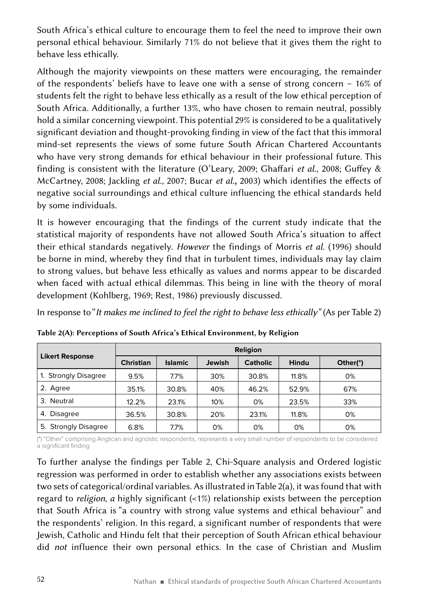South Africa's ethical culture to encourage them to feel the need to improve their own personal ethical behaviour. Similarly 71% do not believe that it gives them the right to behave less ethically.

Although the majority viewpoints on these matters were encouraging, the remainder of the respondents' beliefs have to leave one with a sense of strong concern – 16% of students felt the right to behave less ethically as a result of the low ethical perception of South Africa. Additionally, a further 13%, who have chosen to remain neutral, possibly hold a similar concerning viewpoint. This potential 29% is considered to be a qualitatively significant deviation and thought-provoking finding in view of the fact that this immoral mind-set represents the views of some future South African Chartered Accountants who have very strong demands for ethical behaviour in their professional future. This finding is consistent with the literature (O'Leary, 2009; Ghaffari *et al*., 2008; Guffey & McCartney, 2008; Jackling *et al.,* 2007; Bucar *et al.*, 2003) which identifies the effects of negative social surroundings and ethical culture influencing the ethical standards held by some individuals.

It is however encouraging that the findings of the current study indicate that the statistical majority of respondents have not allowed South Africa's situation to affect their ethical standards negatively. *However* the findings of Morris *et al.* (1996) should be borne in mind, whereby they find that in turbulent times, individuals may lay claim to strong values, but behave less ethically as values and norms appear to be discarded when faced with actual ethical dilemmas. This being in line with the theory of moral development (Kohlberg, 1969; Rest, 1986) previously discussed.

In response to "*It makes me inclined to feel the right to behave less ethically*" (As per Table 2)

|                        | <b>Religion</b>  |                |        |                 |       |          |  |  |  |
|------------------------|------------------|----------------|--------|-----------------|-------|----------|--|--|--|
| <b>Likert Response</b> | <b>Christian</b> | <b>Islamic</b> | Jewish | <b>Catholic</b> | Hindu | Other(*) |  |  |  |
| 1. Strongly Disagree   | 9.5%             | 7.7%           | 30%    | 30.8%           | 11.8% | 0%       |  |  |  |
| 2. Agree               | 35.1%            | 30.8%          | 40%    | 46.2%           | 52.9% | 67%      |  |  |  |
| 3. Neutral             | 12.2%            | 23.1%          | 10%    | 0%              | 23.5% | 33%      |  |  |  |
| 4. Disagree            | 36.5%            | 30.8%          | 20%    | 23.1%           | 11.8% | 0%       |  |  |  |
| 5. Strongly Disagree   | 6.8%             | 7.7%           | 0%     | 0%              | 0%    | 0%       |  |  |  |

Table 2(A): Perceptions of South Africa's Ethical Environment, by Religion

(\*) "Other" comprising Anglican and agnostic respondents, represents a very small number of respondents to be considered a significant finding

To further analyse the findings per Table 2, Chi-Square analysis and Ordered logistic regression was performed in order to establish whether any associations exists between two sets of categorical/ordinal variables. As illustrated in Table 2(a), it was found that with regard to *religion, a* highly significant (<1%) relationship exists between the perception that South Africa is "a country with strong value systems and ethical behaviour" and the respondents' religion. In this regard, a significant number of respondents that were Jewish, Catholic and Hindu felt that their perception of South African ethical behaviour did *not* influence their own personal ethics. In the case of Christian and Muslim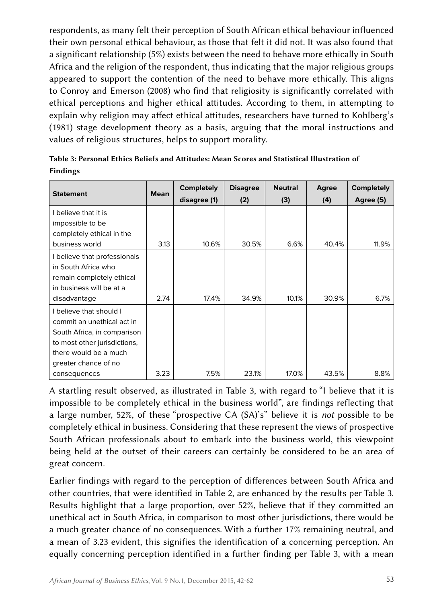respondents, as many felt their perception of South African ethical behaviour influenced their own personal ethical behaviour, as those that felt it did not. It was also found that a significant relationship (5%) exists between the need to behave more ethically in South Africa and the religion of the respondent, thus indicating that the major religious groups appeared to support the contention of the need to behave more ethically. This aligns to Conroy and Emerson (2008) who find that religiosity is significantly correlated with ethical perceptions and higher ethical attitudes. According to them, in attempting to explain why religion may affect ethical attitudes, researchers have turned to Kohlberg's (1981) stage development theory as a basis, arguing that the moral instructions and values of religious structures, helps to support morality.

| <b>Statement</b>             | <b>Mean</b> | <b>Completely</b> | <b>Disagree</b> | <b>Neutral</b> | Agree | <b>Completely</b> |
|------------------------------|-------------|-------------------|-----------------|----------------|-------|-------------------|
|                              |             | disagree (1)      | (2)             | (3)            | (4)   | Agree (5)         |
| I believe that it is         |             |                   |                 |                |       |                   |
| impossible to be             |             |                   |                 |                |       |                   |
| completely ethical in the    |             |                   |                 |                |       |                   |
| business world               | 3.13        | 10.6%             | 30.5%           | 6.6%           | 40.4% | 11.9%             |
| I believe that professionals |             |                   |                 |                |       |                   |
| in South Africa who          |             |                   |                 |                |       |                   |
| remain completely ethical    |             |                   |                 |                |       |                   |
| in business will be at a     |             |                   |                 |                |       |                   |
| disadvantage                 | 2.74        | 17.4%             | 34.9%           | 10.1%          | 30.9% | 6.7%              |
| I believe that should I      |             |                   |                 |                |       |                   |
| commit an unethical act in   |             |                   |                 |                |       |                   |
| South Africa, in comparison  |             |                   |                 |                |       |                   |
| to most other jurisdictions, |             |                   |                 |                |       |                   |
| there would be a much        |             |                   |                 |                |       |                   |
| greater chance of no         |             |                   |                 |                |       |                   |
| consequences                 | 3.23        | 7.5%              | 23.1%           | 17.0%          | 43.5% | 8.8%              |

Table 3: Personal Ethics Beliefs and Attitudes: Mean Scores and Statistical Illustration of Findings

A startling result observed, as illustrated in Table 3, with regard to "I believe that it is impossible to be completely ethical in the business world", are findings reflecting that a large number, 52%, of these "prospective CA (SA)'s" believe it is *not* possible to be completely ethical in business. Considering that these represent the views of prospective South African professionals about to embark into the business world, this viewpoint being held at the outset of their careers can certainly be considered to be an area of great concern.

Earlier findings with regard to the perception of differences between South Africa and other countries, that were identified in Table 2, are enhanced by the results per Table 3. Results highlight that a large proportion, over 52%, believe that if they committed an unethical act in South Africa, in comparison to most other jurisdictions, there would be a much greater chance of no consequences. With a further 17% remaining neutral, and a mean of 3.23 evident, this signifies the identification of a concerning perception. An equally concerning perception identified in a further finding per Table 3, with a mean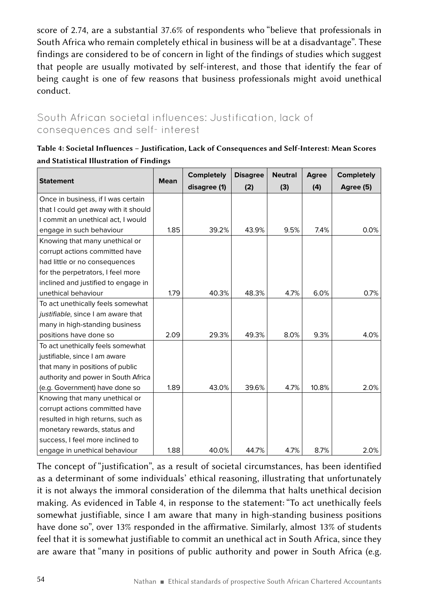score of 2.74, are a substantial 37.6% of respondents who "believe that professionals in South Africa who remain completely ethical in business will be at a disadvantage". These findings are considered to be of concern in light of the findings of studies which suggest that people are usually motivated by self-interest, and those that identify the fear of being caught is one of few reasons that business professionals might avoid unethical conduct.

### South African societal influences: Justification, lack of consequences and self- interest

| Table 4: Societal Influences - Justification, Lack of Consequences and Self-Interest: Mean Scores |
|---------------------------------------------------------------------------------------------------|
| and Statistical Illustration of Findings                                                          |

|                                      | <b>Mean</b> | <b>Completely</b> | <b>Disagree</b> | <b>Neutral</b> | Agree | <b>Completely</b> |
|--------------------------------------|-------------|-------------------|-----------------|----------------|-------|-------------------|
| <b>Statement</b>                     |             | disagree (1)      | (2)             | (3)            | (4)   | Agree (5)         |
| Once in business, if I was certain   |             |                   |                 |                |       |                   |
| that I could get away with it should |             |                   |                 |                |       |                   |
| I commit an unethical act, I would   |             |                   |                 |                |       |                   |
| engage in such behaviour             | 1.85        | 39.2%             | 43.9%           | 9.5%           | 7.4%  | 0.0%              |
| Knowing that many unethical or       |             |                   |                 |                |       |                   |
| corrupt actions committed have       |             |                   |                 |                |       |                   |
| had little or no consequences        |             |                   |                 |                |       |                   |
| for the perpetrators, I feel more    |             |                   |                 |                |       |                   |
| inclined and justified to engage in  |             |                   |                 |                |       |                   |
| unethical behaviour                  | 1.79        | 40.3%             | 48.3%           | 4.7%           | 6.0%  | 0.7%              |
| To act unethically feels somewhat    |             |                   |                 |                |       |                   |
| justifiable, since I am aware that   |             |                   |                 |                |       |                   |
| many in high-standing business       |             |                   |                 |                |       |                   |
| positions have done so               | 2.09        | 29.3%             | 49.3%           | 8.0%           | 9.3%  | 4.0%              |
| To act unethically feels somewhat    |             |                   |                 |                |       |                   |
| justifiable, since I am aware        |             |                   |                 |                |       |                   |
| that many in positions of public     |             |                   |                 |                |       |                   |
| authority and power in South Africa  |             |                   |                 |                |       |                   |
| (e.g. Government) have done so       | 1.89        | 43.0%             | 39.6%           | 4.7%           | 10.8% | 2.0%              |
| Knowing that many unethical or       |             |                   |                 |                |       |                   |
| corrupt actions committed have       |             |                   |                 |                |       |                   |
| resulted in high returns, such as    |             |                   |                 |                |       |                   |
| monetary rewards, status and         |             |                   |                 |                |       |                   |
| success, I feel more inclined to     |             |                   |                 |                |       |                   |
| engage in unethical behaviour        | 1.88        | 40.0%             | 44.7%           | 4.7%           | 8.7%  | 2.0%              |

The concept of "justification", as a result of societal circumstances, has been identified as a determinant of some individuals' ethical reasoning, illustrating that unfortunately it is not always the immoral consideration of the dilemma that halts unethical decision making. As evidenced in Table 4, in response to the statement: "To act unethically feels somewhat justifiable, since I am aware that many in high-standing business positions have done so", over 13% responded in the affirmative. Similarly, almost 13% of students feel that it is somewhat justifiable to commit an unethical act in South Africa, since they are aware that "many in positions of public authority and power in South Africa (e.g.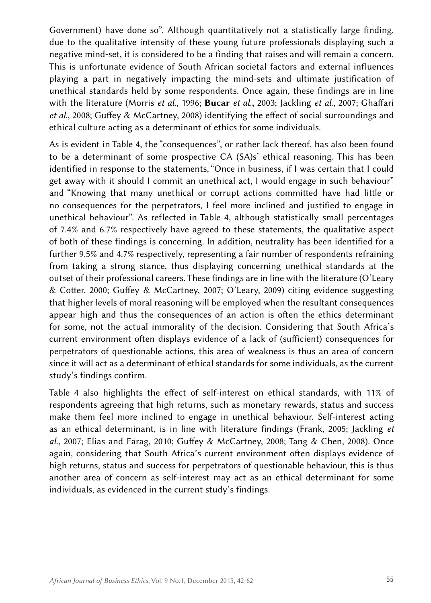Government) have done so". Although quantitatively not a statistically large finding, due to the qualitative intensity of these young future professionals displaying such a negative mind-set, it is considered to be a finding that raises and will remain a concern. This is unfortunate evidence of South African societal factors and external influences playing a part in negatively impacting the mind-sets and ultimate justification of unethical standards held by some respondents. Once again, these findings are in line with the literature (Morris *et al.*, 1996; Bucar *et al.*, 2003; Jackling *et al*., 2007; Ghaffari *et al*., 2008; Guffey & McCartney, 2008) identifying the effect of social surroundings and ethical culture acting as a determinant of ethics for some individuals.

As is evident in Table 4, the "consequences", or rather lack thereof, has also been found to be a determinant of some prospective CA (SA)s' ethical reasoning. This has been identified in response to the statements, "Once in business, if I was certain that I could get away with it should I commit an unethical act, I would engage in such behaviour" and "Knowing that many unethical or corrupt actions committed have had little or no consequences for the perpetrators, I feel more inclined and justified to engage in unethical behaviour". As reflected in Table 4, although statistically small percentages of 7.4% and 6.7% respectively have agreed to these statements, the qualitative aspect of both of these findings is concerning. In addition, neutrality has been identified for a further 9.5% and 4.7% respectively, representing a fair number of respondents refraining from taking a strong stance, thus displaying concerning unethical standards at the outset of their professional careers. These findings are in line with the literature (O'Leary & Cotter, 2000; Guffey & McCartney, 2007; O'Leary, 2009) citing evidence suggesting that higher levels of moral reasoning will be employed when the resultant consequences appear high and thus the consequences of an action is often the ethics determinant for some, not the actual immorality of the decision. Considering that South Africa's current environment often displays evidence of a lack of (sufficient) consequences for perpetrators of questionable actions, this area of weakness is thus an area of concern since it will act as a determinant of ethical standards for some individuals, as the current study's findings confirm.

Table 4 also highlights the effect of self-interest on ethical standards, with 11% of respondents agreeing that high returns, such as monetary rewards, status and success make them feel more inclined to engage in unethical behaviour. Self-interest acting as an ethical determinant, is in line with literature findings (Frank, 2005; Jackling *et al*., 2007; Elias and Farag, 2010; Guffey & McCartney, 2008; Tang & Chen, 2008). Once again, considering that South Africa's current environment often displays evidence of high returns, status and success for perpetrators of questionable behaviour, this is thus another area of concern as self-interest may act as an ethical determinant for some individuals, as evidenced in the current study's findings.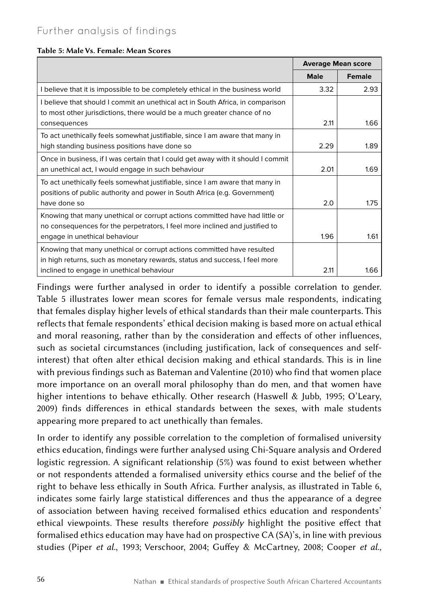#### Table 5: Male Vs. Female: Mean Scores

|                                                                                  | <b>Average Mean score</b> |               |
|----------------------------------------------------------------------------------|---------------------------|---------------|
|                                                                                  | <b>Male</b>               | <b>Female</b> |
| I believe that it is impossible to be completely ethical in the business world   | 3.32                      | 2.93          |
| I believe that should I commit an unethical act in South Africa, in comparison   |                           |               |
| to most other jurisdictions, there would be a much greater chance of no          |                           |               |
| consequences                                                                     | 2.11                      | 1.66          |
| To act unethically feels somewhat justifiable, since I am aware that many in     |                           |               |
| high standing business positions have done so                                    | 2.29                      | 1.89          |
| Once in business, if I was certain that I could get away with it should I commit |                           |               |
| an unethical act, I would engage in such behaviour                               | 2.01                      | 1.69          |
| To act unethically feels somewhat justifiable, since I am aware that many in     |                           |               |
| positions of public authority and power in South Africa (e.g. Government)        |                           |               |
| have done so                                                                     | 2.0                       | 1.75          |
| Knowing that many unethical or corrupt actions committed have had little or      |                           |               |
| no consequences for the perpetrators, I feel more inclined and justified to      |                           |               |
| engage in unethical behaviour                                                    | 1.96                      | 1.61          |
| Knowing that many unethical or corrupt actions committed have resulted           |                           |               |
| in high returns, such as monetary rewards, status and success, I feel more       |                           |               |
| inclined to engage in unethical behaviour                                        | 2.11                      | 1.66          |

Findings were further analysed in order to identify a possible correlation to gender. Table 5 illustrates lower mean scores for female versus male respondents, indicating that females display higher levels of ethical standards than their male counterparts. This reflects that female respondents' ethical decision making is based more on actual ethical and moral reasoning, rather than by the consideration and effects of other influences, such as societal circumstances (including justification, lack of consequences and selfinterest) that often alter ethical decision making and ethical standards. This is in line with previous findings such as Bateman and Valentine (2010) who find that women place more importance on an overall moral philosophy than do men, and that women have higher intentions to behave ethically. Other research (Haswell & Jubb, 1995; O'Leary, 2009) finds differences in ethical standards between the sexes, with male students appearing more prepared to act unethically than females.

In order to identify any possible correlation to the completion of formalised university ethics education, findings were further analysed using Chi-Square analysis and Ordered logistic regression. A significant relationship (5%) was found to exist between whether or not respondents attended a formalised university ethics course and the belief of the right to behave less ethically in South Africa. Further analysis, as illustrated in Table 6, indicates some fairly large statistical differences and thus the appearance of a degree of association between having received formalised ethics education and respondents' ethical viewpoints. These results therefore *possibly* highlight the positive effect that formalised ethics education may have had on prospective CA (SA)'s, in line with previous studies (Piper *et al.*, 1993; Verschoor, 2004; Guffey & McCartney, 2008; Cooper *et al.,*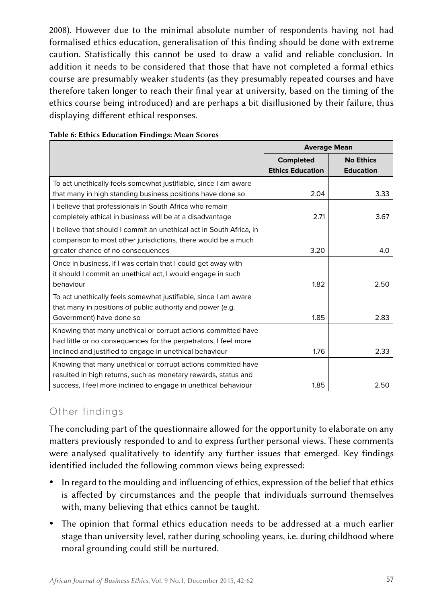2008). However due to the minimal absolute number of respondents having not had formalised ethics education, generalisation of this finding should be done with extreme caution. Statistically this cannot be used to draw a valid and reliable conclusion. In addition it needs to be considered that those that have not completed a formal ethics course are presumably weaker students (as they presumably repeated courses and have therefore taken longer to reach their final year at university, based on the timing of the ethics course being introduced) and are perhaps a bit disillusioned by their failure, thus displaying different ethical responses.

|                                                                                                                                                                                                   | <b>Average Mean</b>                         |                                      |  |
|---------------------------------------------------------------------------------------------------------------------------------------------------------------------------------------------------|---------------------------------------------|--------------------------------------|--|
|                                                                                                                                                                                                   | <b>Completed</b><br><b>Ethics Education</b> | <b>No Ethics</b><br><b>Education</b> |  |
| To act unethically feels somewhat justifiable, since I am aware<br>that many in high standing business positions have done so                                                                     | 2.04                                        | 3.33                                 |  |
| I believe that professionals in South Africa who remain<br>completely ethical in business will be at a disadvantage                                                                               | 2.71                                        | 3.67                                 |  |
| I believe that should I commit an unethical act in South Africa, in<br>comparison to most other jurisdictions, there would be a much<br>greater chance of no consequences                         | 3.20                                        | 4.0                                  |  |
| Once in business, if I was certain that I could get away with<br>it should I commit an unethical act, I would engage in such<br>behaviour                                                         | 1.82                                        | 2.50                                 |  |
| To act unethically feels somewhat justifiable, since I am aware<br>that many in positions of public authority and power (e.g.<br>Government) have done so                                         | 1.85                                        | 2.83                                 |  |
| Knowing that many unethical or corrupt actions committed have<br>had little or no consequences for the perpetrators, I feel more<br>inclined and justified to engage in unethical behaviour       | 1.76                                        | 2.33                                 |  |
| Knowing that many unethical or corrupt actions committed have<br>resulted in high returns, such as monetary rewards, status and<br>success, I feel more inclined to engage in unethical behaviour | 1.85                                        | 2.50                                 |  |

#### Table 6: Ethics Education Findings: Mean Scores

#### Other findings

The concluding part of the questionnaire allowed for the opportunity to elaborate on any matters previously responded to and to express further personal views. These comments were analysed qualitatively to identify any further issues that emerged. Key findings identified included the following common views being expressed:

- In regard to the moulding and influencing of ethics, expression of the belief that ethics is affected by circumstances and the people that individuals surround themselves with, many believing that ethics cannot be taught.
- The opinion that formal ethics education needs to be addressed at a much earlier stage than university level, rather during schooling years, i.e. during childhood where moral grounding could still be nurtured.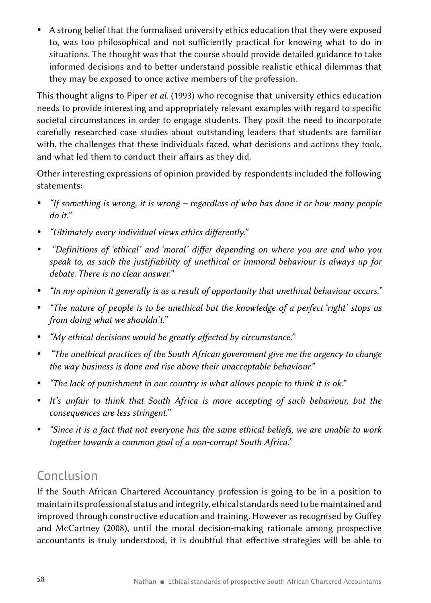• A strong belief that the formalised university ethics education that they were exposed to, was too philosophical and not sufficiently practical for knowing what to do in situations. The thought was that the course should provide detailed guidance to take informed decisions and to better understand possible realistic ethical dilemmas that they may be exposed to once active members of the profession.

This thought aligns to Piper *et al*. (1993) who recognise that university ethics education needs to provide interesting and appropriately relevant examples with regard to specific societal circumstances in order to engage students. They posit the need to incorporate carefully researched case studies about outstanding leaders that students are familiar with, the challenges that these individuals faced, what decisions and actions they took, and what led them to conduct their affairs as they did.

Other interesting expressions of opinion provided by respondents included the following statements:

- y *"If something is wrong, it is wrong regardless of who has done it or how many people do it."*
- **•** *"Ultimately every individual views ethics differently."*
- y *"Definitions of 'ethical' and 'moral' differ depending on where you are and who you speak to, as such the justifiability of unethical or immoral behaviour is always up for debate. There is no clear answer."*
- y *"In my opinion it generally is as a result of opportunity that unethical behaviour occurs."*
- "The nature of people is to be unethical but the knowledge of a perfect 'right' stops us *from doing what we shouldn't."*
- y *"My ethical decisions would be greatly affected by circumstance."*
- y *"The unethical practices of the South African government give me the urgency to change the way business is done and rise above their unacceptable behaviour."*
- *"The lack of punishment in our country is what allows people to think it is ok."*
- It's unfair to think that South Africa is more accepting of such behaviour, but the *consequences are less stringent."*
- y *"Since it is a fact that not everyone has the same ethical beliefs, we are unable to work together towards a common goal of a non-corrupt South Africa."*

# Conclusion

If the South African Chartered Accountancy profession is going to be in a position to maintain its professional status and integrity, ethical standards need to be maintained and improved through constructive education and training. However as recognised by Guffey and McCartney (2008), until the moral decision-making rationale among prospective accountants is truly understood, it is doubtful that effective strategies will be able to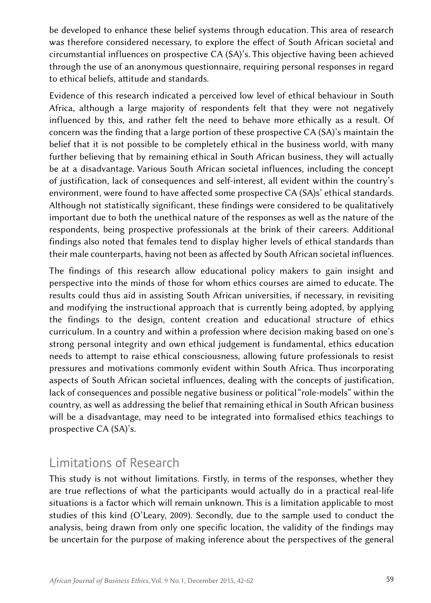be developed to enhance these belief systems through education. This area of research was therefore considered necessary, to explore the effect of South African societal and circumstantial influences on prospective CA (SA)'s. This objective having been achieved through the use of an anonymous questionnaire, requiring personal responses in regard to ethical beliefs, attitude and standards.

Evidence of this research indicated a perceived low level of ethical behaviour in South Africa, although a large majority of respondents felt that they were not negatively influenced by this, and rather felt the need to behave more ethically as a result. Of concern was the finding that a large portion of these prospective CA (SA)'s maintain the belief that it is not possible to be completely ethical in the business world, with many further believing that by remaining ethical in South African business, they will actually be at a disadvantage. Various South African societal influences, including the concept of justification, lack of consequences and self-interest, all evident within the country's environment, were found to have affected some prospective CA (SA)s' ethical standards. Although not statistically significant, these findings were considered to be qualitatively important due to both the unethical nature of the responses as well as the nature of the respondents, being prospective professionals at the brink of their careers. Additional findings also noted that females tend to display higher levels of ethical standards than their male counterparts, having not been as affected by South African societal influences.

The findings of this research allow educational policy makers to gain insight and perspective into the minds of those for whom ethics courses are aimed to educate. The results could thus aid in assisting South African universities, if necessary, in revisiting and modifying the instructional approach that is currently being adopted, by applying the findings to the design, content creation and educational structure of ethics curriculum. In a country and within a profession where decision making based on one's strong personal integrity and own ethical judgement is fundamental, ethics education needs to attempt to raise ethical consciousness, allowing future professionals to resist pressures and motivations commonly evident within South Africa. Thus incorporating aspects of South African societal influences, dealing with the concepts of justification, lack of consequences and possible negative business or political "role-models" within the country, as well as addressing the belief that remaining ethical in South African business will be a disadvantage, may need to be integrated into formalised ethics teachings to prospective CA (SA)'s.

# Limitations of Research

This study is not without limitations. Firstly, in terms of the responses, whether they are true reflections of what the participants would actually do in a practical real-life situations is a factor which will remain unknown. This is a limitation applicable to most studies of this kind (O'Leary, 2009). Secondly, due to the sample used to conduct the analysis, being drawn from only one specific location, the validity of the findings may be uncertain for the purpose of making inference about the perspectives of the general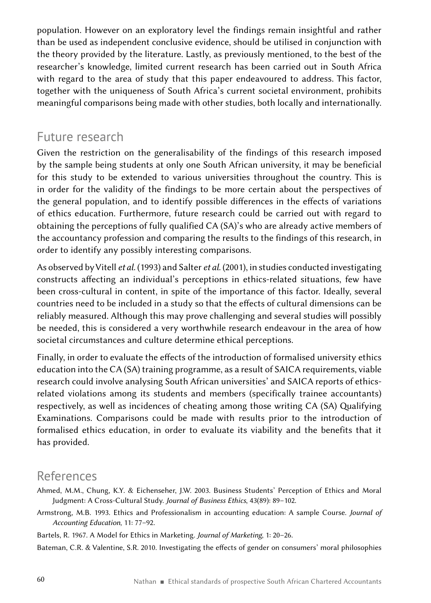population. However on an exploratory level the findings remain insightful and rather than be used as independent conclusive evidence, should be utilised in conjunction with the theory provided by the literature. Lastly, as previously mentioned, to the best of the researcher's knowledge, limited current research has been carried out in South Africa with regard to the area of study that this paper endeavoured to address. This factor, together with the uniqueness of South Africa's current societal environment, prohibits meaningful comparisons being made with other studies, both locally and internationally.

### Future research

Given the restriction on the generalisability of the findings of this research imposed by the sample being students at only one South African university, it may be beneficial for this study to be extended to various universities throughout the country. This is in order for the validity of the findings to be more certain about the perspectives of the general population, and to identify possible differences in the effects of variations of ethics education. Furthermore, future research could be carried out with regard to obtaining the perceptions of fully qualified CA (SA)'s who are already active members of the accountancy profession and comparing the results to the findings of this research, in order to identify any possibly interesting comparisons.

As observed by Vitell *et al.* (1993) and Salter *et al*. (2001), in studies conducted investigating constructs affecting an individual's perceptions in ethics-related situations, few have been cross-cultural in content, in spite of the importance of this factor. Ideally, several countries need to be included in a study so that the effects of cultural dimensions can be reliably measured. Although this may prove challenging and several studies will possibly be needed, this is considered a very worthwhile research endeavour in the area of how societal circumstances and culture determine ethical perceptions.

Finally, in order to evaluate the effects of the introduction of formalised university ethics education into the CA (SA) training programme, as a result of SAICA requirements, viable research could involve analysing South African universities' and SAICA reports of ethicsrelated violations among its students and members (specifically trainee accountants) respectively, as well as incidences of cheating among those writing CA (SA) Qualifying Examinations. Comparisons could be made with results prior to the introduction of formalised ethics education, in order to evaluate its viability and the benefits that it has provided.

# References

- Ahmed, M.M., Chung, K.Y. & Eichenseher, J.W. 2003. Business Students' Perception of Ethics and Moral Judgment: A Cross-Cultural Study. *Journal of Business Ethics*, 43(89): 89–102.
- Armstrong, M.B. 1993. Ethics and Professionalism in accounting education: A sample Course. *Journal of Accounting Education*, 11: 77–92.

Bartels, R. 1967. A Model for Ethics in Marketing. *Journal of Marketing*, 1: 20–26.

Bateman, C.R. & Valentine, S.R. 2010. Investigating the effects of gender on consumers' moral philosophies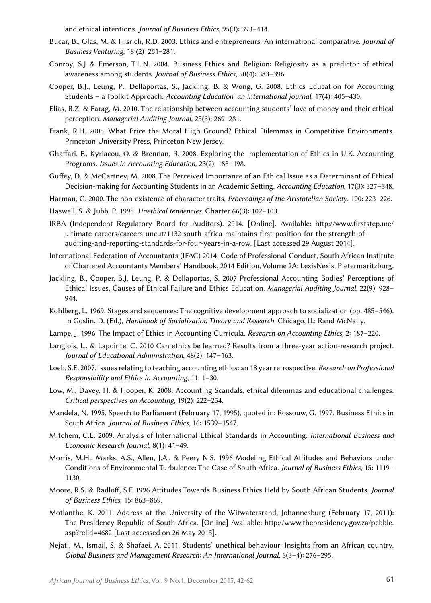and ethical intentions. *Journal of Business Ethics*, 95(3): 393–414.

- Bucar, B., Glas, M. & Hisrich, R.D. 2003. Ethics and entrepreneurs: An international comparative. *[Journal of](http://www.sciencedirect.com/science/journal/08839026)  [Business Venturing](http://www.sciencedirect.com/science/journal/08839026)*, 18 (2): 261–281.
- Conroy, S.J & Emerson, T.L.N. 2004. Business Ethics and Religion: Religiosity as a predictor of ethical awareness among students. *[Journal of Business Ethics](http://link.springer.com/journal/10551)*, 50(4): 383–396.
- Cooper, B.J., Leung, P., Dellaportas, S., Jackling, B. & Wong, G. 2008. Ethics Education for Accounting Students – a Toolkit Approach. *Accounting Education: an international journal,* 17(4): 405–430.
- Elias, R.Z. & Farag, M. 2010. The relationship between accounting students' love of money and their ethical perception. *Managerial Auditing Journal*, 25(3): 269–281.
- Frank, R.H. 2005. What Price the Moral High Ground? Ethical Dilemmas in Competitive Environments. Princeton University Press, Princeton New Jersey.
- Ghaffari, F., Kyriacou, O. & Brennan, R. 2008. Exploring the Implementation of Ethics in U.K. Accounting Programs. *Issues in Accounting Education,* 23(2): 183–198.
- Guffey, D. & McCartney, M. 2008. The Perceived Importance of an Ethical Issue as a Determinant of Ethical Decision-making for Accounting Students in an Academic Setting. *[Accounting Education](http://econpapers.repec.org/article/tafaccted/)*, 17(3): 327–348.
- Harman, G. 2000. The non-existence of character traits, *Proceedings of the Aristotelian Society*. 100: 223–226.
- Haswell, S. & Jubb, P. 1995. *Unethical tendencies*. Charter 66(3): 102–103.
- IRBA (Independent Regulatory Board for Auditors). 2014. [Online]. Available: [http://www.firststep.me/](http://www.firststep.me/ultimate-careers/careers-uncut/1132-south-africa-maintains-first-position-for-the-strength-of-auditing-and-reporting-standards-for-four-years-in-a-row) [ultimate-careers/careers-uncut/1132-south-africa-maintains-first-position-for-the-strength-of](http://www.firststep.me/ultimate-careers/careers-uncut/1132-south-africa-maintains-first-position-for-the-strength-of-auditing-and-reporting-standards-for-four-years-in-a-row)[auditing-and-reporting-standards-for-four-years-in-a-row](http://www.firststep.me/ultimate-careers/careers-uncut/1132-south-africa-maintains-first-position-for-the-strength-of-auditing-and-reporting-standards-for-four-years-in-a-row). [Last accessed 29 August 2014].
- International Federation of Accountants (IFAC) 2014. Code of Professional Conduct, South African Institute of Chartered Accountants Members' Handbook, 2014 Edition, Volume 2A: LexisNexis, Pietermaritzburg.
- Jackling, B., Cooper, B.J, Leung, P. & Dellaportas, S. 2007 Professional Accounting Bodies' Perceptions of Ethical Issues, Causes of Ethical Failure and Ethics Education. *Managerial Auditing Journal,* 22(9): 928– 944.
- Kohlberg, L. 1969. Stages and sequences: The cognitive development approach to socialization (pp. 485–546). In Goslin, D. (Ed.), *Handbook of Socialization Theory and Research.* Chicago, IL: Rand McNally.
- Lampe, J. 1996. The Impact of Ethics in Accounting Curricula. *Research on Accounting Ethics,* 2: 187–220.
- Langlois, L., & Lapointe, C. 2010 Can ethics be learned? Results from a three-year action-research project. *Journal of Educational Administration*, 48(2): 147–163.
- Loeb, S.E. 2007. Issues relating to teaching accounting ethics: an 18 year retrospective. *Research on Professional Responsibility and Ethics in Accounting*, 11: 1–30.
- Low, M., Davey, H. & Hooper, K. 2008. Accounting Scandals, ethical dilemmas and educational challenges. *Critical perspectives on Accounting*, 19(2): 222–254.
- Mandela, N. 1995. Speech to Parliament (February 17, 1995), quoted in: Rossouw, G. 1997. Business Ethics in South Africa. *Journal of Business Ethics*, 16: 1539–1547.
- Mitchem, C.E. 2009. Analysis of International Ethical Standards in Accounting. *International Business and Economic Research Journal*, 8(1): 41–49.
- Morris, M.H., Marks, A.S., Allen, J.A., & Peery N.S. 1996 Modeling Ethical Attitudes and Behaviors under Conditions of Environmental Turbulence: The Case of South Africa. *Journal of Business Ethics*, 15: 1119– 1130.
- Moore, R.S. & Radloff, S.E 1996 Attitudes Towards Business Ethics Held by South African Students. *Journal of Business Ethics*, 15: 863–869.
- Motlanthe, K. 2011. Address at the University of the Witwatersrand, Johannesburg (February 17, 2011): The Presidency Republic of South Africa. [Online] Available: [http://www.thepresidency.gov.za/pebble.](http://www.thepresidency.gov.za/pebble.asp?relid=4682) [asp?relid=4682](http://www.thepresidency.gov.za/pebble.asp?relid=4682) [Last accessed on 26 May 2015].
- Nejati, M., Ismail, S. & Shafaei, A. 2011. Students' unethical behaviour: Insights from an African country. *Global Business and Management Research: An International Journal,* 3(3–4): 276–295.